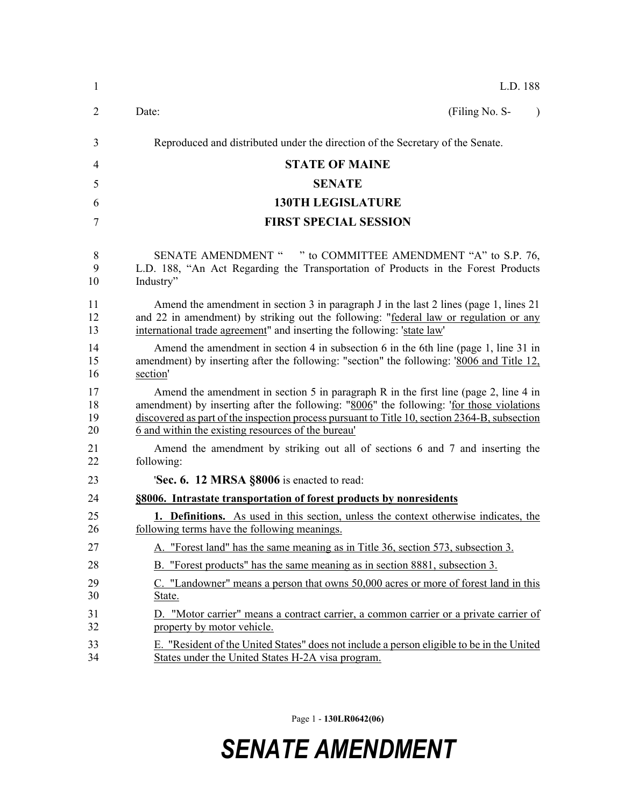| $\mathbf{1}$         | L.D. 188                                                                                                                                                                                                                                                                                                                                       |
|----------------------|------------------------------------------------------------------------------------------------------------------------------------------------------------------------------------------------------------------------------------------------------------------------------------------------------------------------------------------------|
| $\overline{2}$       | (Filing No. S-<br>Date:<br>$\lambda$                                                                                                                                                                                                                                                                                                           |
| 3                    | Reproduced and distributed under the direction of the Secretary of the Senate.                                                                                                                                                                                                                                                                 |
| 4                    | <b>STATE OF MAINE</b>                                                                                                                                                                                                                                                                                                                          |
| 5                    | <b>SENATE</b>                                                                                                                                                                                                                                                                                                                                  |
| 6                    | <b>130TH LEGISLATURE</b>                                                                                                                                                                                                                                                                                                                       |
| 7                    | <b>FIRST SPECIAL SESSION</b>                                                                                                                                                                                                                                                                                                                   |
| 8<br>9<br>10         | SENATE AMENDMENT " " to COMMITTEE AMENDMENT "A" to S.P. 76,<br>L.D. 188, "An Act Regarding the Transportation of Products in the Forest Products<br>Industry"                                                                                                                                                                                  |
| 11<br>12<br>13       | Amend the amendment in section 3 in paragraph J in the last 2 lines (page 1, lines 21)<br>and 22 in amendment) by striking out the following: "federal law or regulation or any<br>international trade agreement" and inserting the following: 'state law'                                                                                     |
| 14<br>15<br>16       | Amend the amendment in section 4 in subsection 6 in the 6th line (page 1, line 31 in<br>amendment) by inserting after the following: "section" the following: '8006 and Title 12,<br>section'                                                                                                                                                  |
| 17<br>18<br>19<br>20 | Amend the amendment in section 5 in paragraph R in the first line (page 2, line 4 in<br>amendment) by inserting after the following: "8006" the following: 'for those violations<br>discovered as part of the inspection process pursuant to Title 10, section 2364-B, subsection<br><u>6</u> and within the existing resources of the bureau' |
| 21<br>22             | Amend the amendment by striking out all of sections 6 and 7 and inserting the<br>following:                                                                                                                                                                                                                                                    |
| 23                   | 'Sec. 6. 12 MRSA §8006 is enacted to read:                                                                                                                                                                                                                                                                                                     |
| 24                   | §8006. Intrastate transportation of forest products by nonresidents                                                                                                                                                                                                                                                                            |
| 25<br>26             | <b>1. Definitions.</b> As used in this section, unless the context otherwise indicates, the<br>following terms have the following meanings.                                                                                                                                                                                                    |
| 27                   | A. "Forest land" has the same meaning as in Title 36, section 573, subsection 3.                                                                                                                                                                                                                                                               |
| 28                   | B. "Forest products" has the same meaning as in section 8881, subsection 3.                                                                                                                                                                                                                                                                    |
| 29<br>30             | C. "Landowner" means a person that owns 50,000 acres or more of forest land in this<br>State.                                                                                                                                                                                                                                                  |
| 31<br>32             | D. "Motor carrier" means a contract carrier, a common carrier or a private carrier of<br>property by motor vehicle.                                                                                                                                                                                                                            |
| 33<br>34             | E. "Resident of the United States" does not include a person eligible to be in the United<br>States under the United States H-2A visa program.                                                                                                                                                                                                 |

Page 1 - **130LR0642(06)**

## *SENATE AMENDMENT*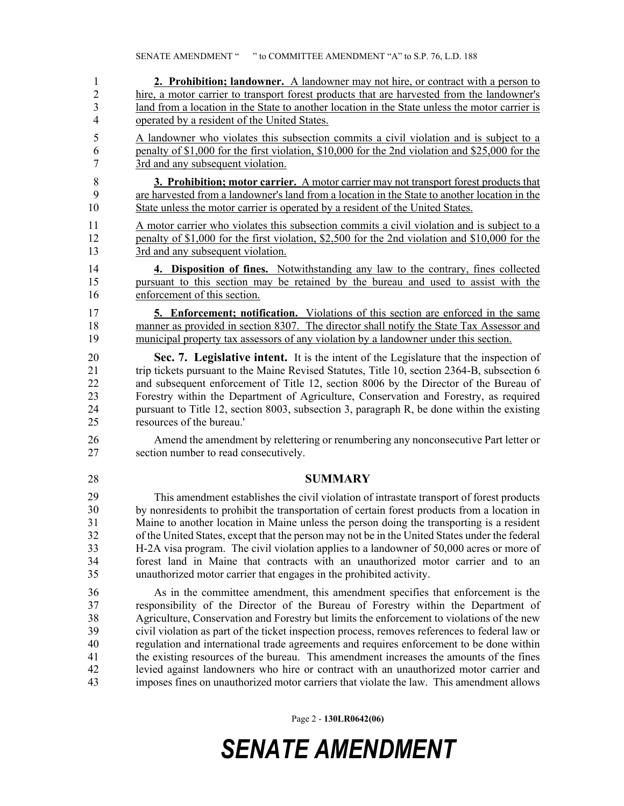1 **2. Prohibition; landowner.** A landowner may not hire, or contract with a person to 2 hire, a motor carrier to transport forest products that are harvested from the landowner's 3 land from a location in the State to another location in the State unless the motor carrier is 4 operated by a resident of the United States.

5 A landowner who violates this subsection commits a civil violation and is subject to a 6 penalty of \$1,000 for the first violation, \$10,000 for the 2nd violation and \$25,000 for the 7 3rd and any subsequent violation.

8 **3. Prohibition; motor carrier.** A motor carrier may not transport forest products that 9 are harvested from a landowner's land from a location in the State to another location in the 10 State unless the motor carrier is operated by a resident of the United States.

11 A motor carrier who violates this subsection commits a civil violation and is subject to a 12 penalty of \$1,000 for the first violation, \$2,500 for the 2nd violation and \$10,000 for the 13 3rd and any subsequent violation.

14 **4. Disposition of fines.** Notwithstanding any law to the contrary, fines collected 15 pursuant to this section may be retained by the bureau and used to assist with the 16 enforcement of this section.

17 **5. Enforcement; notification.** Violations of this section are enforced in the same 18 manner as provided in section 8307. The director shall notify the State Tax Assessor and 19 municipal property tax assessors of any violation by a landowner under this section.

20 **Sec. 7. Legislative intent.** It is the intent of the Legislature that the inspection of 21 trip tickets pursuant to the Maine Revised Statutes, Title 10, section 2364-B, subsection 6 22 and subsequent enforcement of Title 12, section 8006 by the Director of the Bureau of 23 Forestry within the Department of Agriculture, Conservation and Forestry, as required 24 pursuant to Title 12, section 8003, subsection 3, paragraph R, be done within the existing 25 resources of the bureau.'

26 Amend the amendment by relettering or renumbering any nonconsecutive Part letter or 27 section number to read consecutively.

28 **SUMMARY**

29 This amendment establishes the civil violation of intrastate transport of forest products 30 by nonresidents to prohibit the transportation of certain forest products from a location in Maine to another location in Maine unless the person doing the transporting is a resident of the United States, except that the person may not be in the United States under the federal H-2A visa program. The civil violation applies to a landowner of 50,000 acres or more of forest land in Maine that contracts with an unauthorized motor carrier and to an unauthorized motor carrier that engages in the prohibited activity. 29 30 31 32 33 34 35

36 As in the committee amendment, this amendment specifies that enforcement is the 37 responsibility of the Director of the Bureau of Forestry within the Department of 38 Agriculture, Conservation and Forestry but limits the enforcement to violations of the new 39 civil violation as part of the ticket inspection process, removes references to federal law or 40 regulation and international trade agreements and requires enforcement to be done within 41 the existing resources of the bureau. This amendment increases the amounts of the fines 42 levied against landowners who hire or contract with an unauthorized motor carrier and 43 imposes fines on unauthorized motor carriers that violate the law. This amendment allows

Page 2 - **130LR0642(06)**

## *SENATE AMENDMENT*